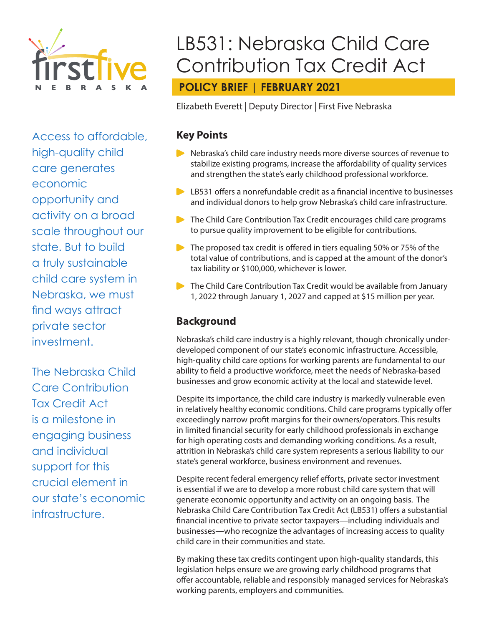

Access to affordable, high-quality child care generates economic opportunity and activity on a broad scale throughout our state. But to build a truly sustainable child care system in Nebraska, we must find ways attract private sector investment.

The Nebraska Child Care Contribution Tax Credit Act is a milestone in engaging business and individual support for this crucial element in our state's economic infrastructure.

# LB531: Nebraska Child Care Contribution Tax Credit Act

# **POLICY BRIEF | FEBRUARY 2021**

Elizabeth Everett | Deputy Director | First Five Nebraska

#### **Key Points**

- Nebraska's child care industry needs more diverse sources of revenue to stabilize existing programs, increase the affordability of quality services and strengthen the state's early childhood professional workforce.
- **LB531 offers a nonrefundable credit as a financial incentive to businesses** and individual donors to help grow Nebraska's child care infrastructure.
- The Child Care Contribution Tax Credit encourages child care programs to pursue quality improvement to be eligible for contributions.
- $\triangleright$  The proposed tax credit is offered in tiers equaling 50% or 75% of the total value of contributions, and is capped at the amount of the donor's tax liability or \$100,000, whichever is lower.
- The Child Care Contribution Tax Credit would be available from January 1, 2022 through January 1, 2027 and capped at \$15 million per year.

# **Background**

Nebraska's child care industry is a highly relevant, though chronically underdeveloped component of our state's economic infrastructure. Accessible, high-quality child care options for working parents are fundamental to our ability to field a productive workforce, meet the needs of Nebraska-based businesses and grow economic activity at the local and statewide level.

Despite its importance, the child care industry is markedly vulnerable even in relatively healthy economic conditions. Child care programs typically offer exceedingly narrow profit margins for their owners/operators. This results in limited financial security for early childhood professionals in exchange for high operating costs and demanding working conditions. As a result, attrition in Nebraska's child care system represents a serious liability to our state's general workforce, business environment and revenues.

Despite recent federal emergency relief efforts, private sector investment is essential if we are to develop a more robust child care system that will generate economic opportunity and activity on an ongoing basis. The Nebraska Child Care Contribution Tax Credit Act (LB531) offers a substantial financial incentive to private sector taxpayers—including individuals and businesses—who recognize the advantages of increasing access to quality child care in their communities and state.

By making these tax credits contingent upon high-quality standards, this legislation helps ensure we are growing early childhood programs that offer accountable, reliable and responsibly managed services for Nebraska's working parents, employers and communities.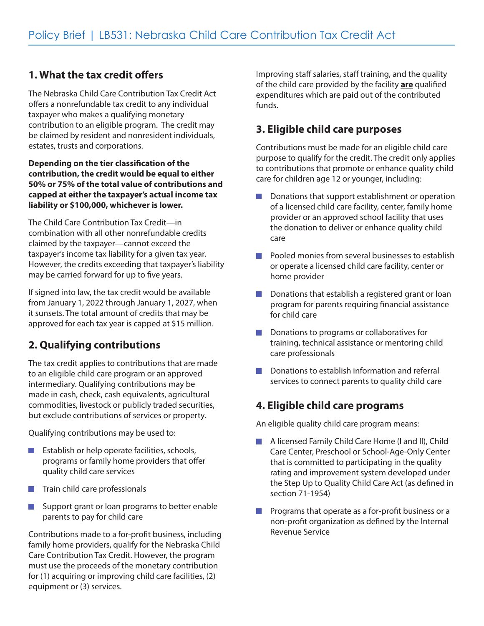## **1. What the tax credit offers**

The Nebraska Child Care Contribution Tax Credit Act offers a nonrefundable tax credit to any individual taxpayer who makes a qualifying monetary contribution to an eligible program. The credit may be claimed by resident and nonresident individuals, estates, trusts and corporations.

#### **Depending on the tier classification of the contribution, the credit would be equal to either 50% or 75% of the total value of contributions and capped at either the taxpayer's actual income tax liability or \$100,000, whichever is lower.**

The Child Care Contribution Tax Credit—in combination with all other nonrefundable credits claimed by the taxpayer—cannot exceed the taxpayer's income tax liability for a given tax year. However, the credits exceeding that taxpayer's liability may be carried forward for up to five years.

If signed into law, the tax credit would be available from January 1, 2022 through January 1, 2027, when it sunsets. The total amount of credits that may be approved for each tax year is capped at \$15 million.

# **2. Qualifying contributions**

The tax credit applies to contributions that are made to an eligible child care program or an approved intermediary. Qualifying contributions may be made in cash, check, cash equivalents, agricultural commodities, livestock or publicly traded securities, but exclude contributions of services or property.

Qualifying contributions may be used to:

- T. Establish or help operate facilities, schools, programs or family home providers that offer quality child care services
- $\blacksquare$  Train child care professionals
- Support grant or loan programs to better enable  $\mathcal{L}^{\text{max}}_{\text{max}}$ parents to pay for child care

Contributions made to a for-profit business, including family home providers, qualify for the Nebraska Child Care Contribution Tax Credit. However, the program must use the proceeds of the monetary contribution for (1) acquiring or improving child care facilities, (2) equipment or (3) services.

Improving staff salaries, staff training, and the quality of the child care provided by the facility **are** qualified expenditures which are paid out of the contributed funds.

## **3. Eligible child care purposes**

Contributions must be made for an eligible child care purpose to qualify for the credit. The credit only applies to contributions that promote or enhance quality child care for children age 12 or younger, including:

- Donations that support establishment or operation  $\mathcal{L}^{\text{max}}$ of a licensed child care facility, center, family home provider or an approved school facility that uses the donation to deliver or enhance quality child care
- **Prooled monies from several businesses to establish** or operate a licensed child care facility, center or home provider
- Donations that establish a registered grant or loan program for parents requiring financial assistance for child care
- Donations to programs or collaboratives for  $\mathcal{L}(\mathcal{A})$ training, technical assistance or mentoring child care professionals
- **D** Donations to establish information and referral services to connect parents to quality child care

#### **4. Eligible child care programs**

An eligible quality child care program means:

- A licensed Family Child Care Home (I and II), Child  $\overline{\phantom{a}}$ Care Center, Preschool or School-Age-Only Center that is committed to participating in the quality rating and improvement system developed under the Step Up to Quality Child Care Act (as defined in section 71-1954)
- Programs that operate as a for-profit business or a non-profit organization as defined by the Internal Revenue Service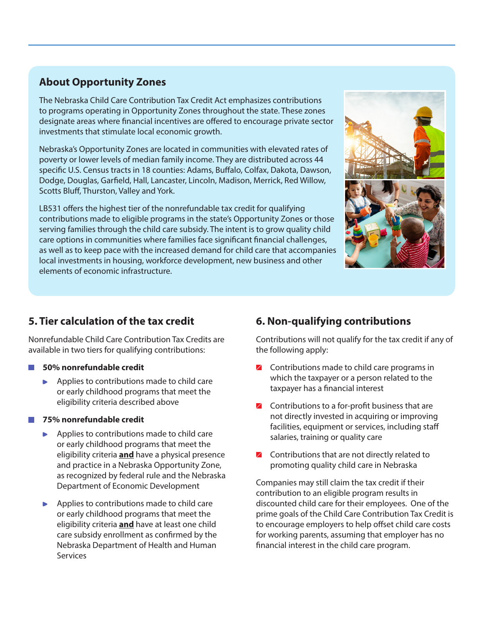### **About Opportunity Zones**

investments that stimulate local economic growth. The Nebraska Child Care Contribution Tax Credit Act emphasizes contributions to programs operating in Opportunity Zones throughout the state. These zones designate areas where financial incentives are offered to encourage private sector

Nebraska's Opportunity Zones are located in communities with elevated rates of poverty or lower levels of median family income. They are distributed across 44 **50% nonrefundable credit** applies to Dodge, Douglas, Garfield, Hall, Lancaster, Lincoln, Madison, Merrick, Red Willow, couge, Douglas, Garriera, Flan, Earleaster, Emeonr, Ma Scotts Bluff, Thurston, Valley and York. specific U.S. Census tracts in 18 counties: Adams, Buffalo, Colfax, Dakota, Dawson,

LB531 offers the highest tier of the nonrefundable tax credit for qualifying contributions made to eligible programs in the state's Opportunity Zones or those serving families through the child care subsidy. The intent is to grow quality child care options in communities where families face significant financial challenges, as well as to keep pace with the increased demand for child care that accompanies local investments in housing, workforce development, new business and other elements of economic infrastructure.



#### **5. Tier calculation of the tax credit**

Nonrefundable Child Care Contribution Tax Credits are available in two tiers for qualifying contributions:

#### **50% nonrefundable credit**

Applies to contributions made to child care or early childhood programs that meet the eligibility criteria described above

#### **75% nonrefundable credit**

- Applies to contributions made to child care or early childhood programs that meet the eligibility criteria **and** have a physical presence and practice in a Nebraska Opportunity Zone, as recognized by federal rule and the Nebraska Department of Economic Development
- Applies to contributions made to child care or early childhood programs that meet the eligibility criteria **and** have at least one child care subsidy enrollment as confirmed by the Nebraska Department of Health and Human Services

# **6. Non-qualifying contributions**

Contributions will not qualify for the tax credit if any of the following apply:

- $\angle$  Contributions made to child care programs in which the taxpayer or a person related to the taxpayer has a financial interest
- $\angle$  Contributions to a for-profit business that are not directly invested in acquiring or improving facilities, equipment or services, including staff salaries, training or quality care
- $\blacksquare$  Contributions that are not directly related to promoting quality child care in Nebraska

Companies may still claim the tax credit if their contribution to an eligible program results in discounted child care for their employees. One of the prime goals of the Child Care Contribution Tax Credit is to encourage employers to help offset child care costs for working parents, assuming that employer has no financial interest in the child care program.